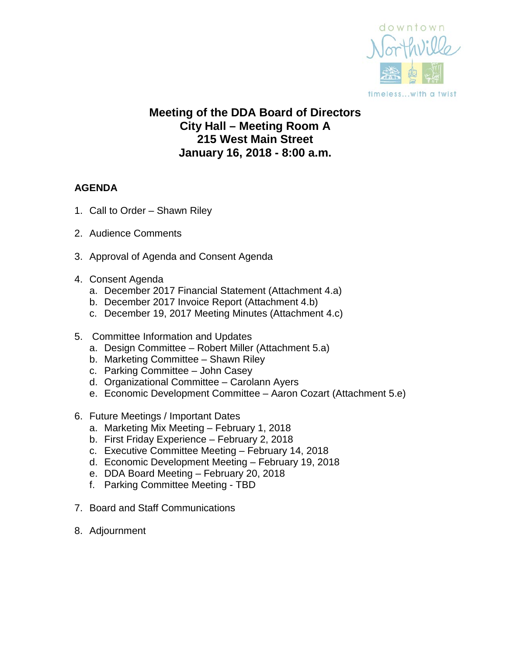

# **Meeting of the DDA Board of Directors City Hall – Meeting Room A 215 West Main Street January 16, 2018 - 8:00 a.m.**

# **AGENDA**

- 1. Call to Order Shawn Riley
- 2. Audience Comments
- 3. Approval of Agenda and Consent Agenda
- 4. Consent Agenda
	- a. December 2017 Financial Statement (Attachment 4.a)
	- b. December 2017 Invoice Report (Attachment 4.b)
	- c. December 19, 2017 Meeting Minutes (Attachment 4.c)
- 5. Committee Information and Updates
	- a. Design Committee Robert Miller (Attachment 5.a)
	- b. Marketing Committee Shawn Riley
	- c. Parking Committee John Casey
	- d. Organizational Committee Carolann Ayers
	- e. Economic Development Committee Aaron Cozart (Attachment 5.e)
- 6. Future Meetings / Important Dates
	- a. Marketing Mix Meeting February 1, 2018
	- b. First Friday Experience February 2, 2018
	- c. Executive Committee Meeting February 14, 2018
	- d. Economic Development Meeting February 19, 2018
	- e. DDA Board Meeting February 20, 2018
	- f. Parking Committee Meeting TBD
- 7. Board and Staff Communications
- 8. Adjournment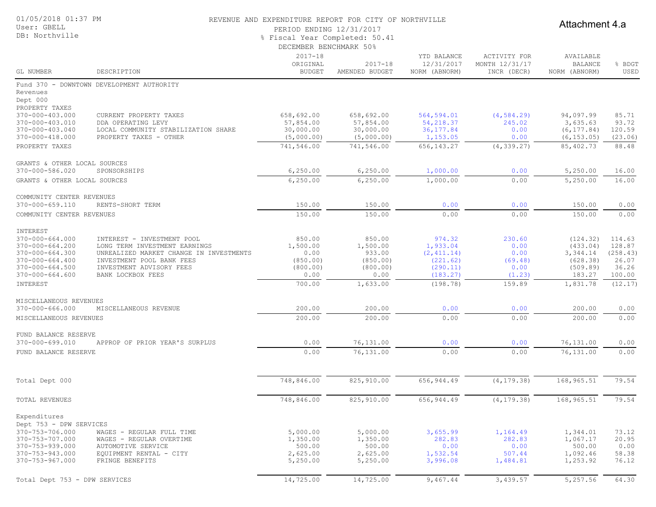| 01/05/2018 01:37 PM                            |                                                                      | REVENUE AND EXPENDITURE REPORT FOR CITY OF NORTHVILLE |                    |                           |                                |                             |                   |  |
|------------------------------------------------|----------------------------------------------------------------------|-------------------------------------------------------|--------------------|---------------------------|--------------------------------|-----------------------------|-------------------|--|
| User: GBELL                                    |                                                                      | PERIOD ENDING 12/31/2017                              |                    |                           |                                | Attachment 4.a              |                   |  |
| DB: Northville                                 |                                                                      | % Fiscal Year Completed: 50.41                        |                    |                           |                                |                             |                   |  |
|                                                |                                                                      | DECEMBER BENCHMARK 50%                                |                    |                           |                                |                             |                   |  |
|                                                |                                                                      |                                                       |                    |                           |                                |                             |                   |  |
|                                                |                                                                      | $2017 - 18$<br>ORIGINAL                               | $2017 - 18$        | YTD BALANCE<br>12/31/2017 | ACTIVITY FOR<br>MONTH 12/31/17 | AVAILABLE<br><b>BALANCE</b> | % BDGT            |  |
| GL NUMBER                                      | DESCRIPTION                                                          | <b>BUDGET</b>                                         | AMENDED BUDGET     | NORM (ABNORM)             | INCR (DECR)                    | NORM (ABNORM)               | USED              |  |
|                                                | Fund 370 - DOWNTOWN DEVELOPMENT AUTHORITY                            |                                                       |                    |                           |                                |                             |                   |  |
| Revenues                                       |                                                                      |                                                       |                    |                           |                                |                             |                   |  |
| Dept 000                                       |                                                                      |                                                       |                    |                           |                                |                             |                   |  |
| PROPERTY TAXES                                 |                                                                      |                                                       |                    |                           |                                |                             |                   |  |
| 370-000-403.000                                | CURRENT PROPERTY TAXES                                               | 658,692.00                                            | 658,692.00         | 564,594.01                | (4, 584.29)                    | 94,097.99                   | 85.71             |  |
| 370-000-403.010                                | DDA OPERATING LEVY                                                   | 57,854.00                                             | 57,854.00          | 54, 218.37                | 245.02                         | 3,635.63                    | 93.72             |  |
| $370 - 000 - 403.040$                          | LOCAL COMMUNITY STABILIZATION SHARE                                  | 30,000.00                                             | 30,000.00          | 36, 177.84                | 0.00                           | (6, 177.84)                 | 120.59            |  |
| 370-000-418.000                                | PROPERTY TAXES - OTHER                                               | (5,000.00)                                            | (5,000.00)         | 1,153.05                  | 0.00                           | (6, 153.05)                 | (23.06)           |  |
| PROPERTY TAXES                                 |                                                                      | 741,546.00                                            | 741,546.00         | 656, 143.27               | (4, 339.27)                    | 85,402.73                   | 88.48             |  |
|                                                |                                                                      |                                                       |                    |                           |                                |                             |                   |  |
| GRANTS & OTHER LOCAL SOURCES                   |                                                                      |                                                       |                    |                           |                                |                             |                   |  |
| 370-000-586.020                                | SPONSORSHIPS                                                         | 6, 250.00                                             | 6, 250.00          | 1,000.00                  | 0.00                           | 5,250.00                    | 16.00             |  |
| GRANTS & OTHER LOCAL SOURCES                   |                                                                      | 6, 250.00                                             | 6, 250.00          | 1,000.00                  | 0.00                           | 5,250.00                    | 16.00             |  |
| COMMUNITY CENTER REVENUES                      |                                                                      |                                                       |                    |                           |                                |                             |                   |  |
| $370 - 000 - 659.110$                          | RENTS-SHORT TERM                                                     | 150.00                                                | 150.00             | 0.00                      | 0.00                           | 150.00                      | 0.00              |  |
| COMMUNITY CENTER REVENUES                      |                                                                      | 150.00                                                | 150.00             | 0.00                      | 0.00                           | 150.00                      | 0.00              |  |
|                                                |                                                                      |                                                       |                    |                           |                                |                             |                   |  |
| INTEREST                                       |                                                                      |                                                       |                    |                           |                                |                             |                   |  |
| $370 - 000 - 664.000$                          | INTEREST - INVESTMENT POOL                                           | 850.00                                                | 850.00             | 974.32                    | 230.60                         | (124.32)                    | 114.63            |  |
| 370-000-664.200                                | LONG TERM INVESTMENT EARNINGS                                        | 1,500.00                                              | 1,500.00           | 1,933.04                  | 0.00                           | (433.04)<br>3,344.14        | 128.87            |  |
| $370 - 000 - 664.300$<br>$370 - 000 - 664.400$ | UNREALIZED MARKET CHANGE IN INVESTMENTS<br>INVESTMENT POOL BANK FEES | 0.00<br>(850.00)                                      | 933.00<br>(850.00) | (2, 411.14)<br>(221.62)   | 0.00<br>(69.48)                | (628.38)                    | (258.43)<br>26.07 |  |
| $370 - 000 - 664.500$                          | INVESTMENT ADVISORY FEES                                             | (800.00)                                              | (800.00)           | (290.11)                  | 0.00                           | (509.89)                    | 36.26             |  |
| $370 - 000 - 664.600$                          | BANK LOCKBOX FEES                                                    | 0.00                                                  | 0.00               | (183.27)                  | (1.23)                         | 183.27                      | 100.00            |  |
| INTEREST                                       |                                                                      | 700.00                                                | 1,633.00           | (198.78)                  | 159.89                         | 1,831.78                    | (12.17)           |  |
|                                                |                                                                      |                                                       |                    |                           |                                |                             |                   |  |
| MISCELLANEOUS REVENUES                         |                                                                      |                                                       |                    |                           |                                |                             |                   |  |
| $370 - 000 - 666.000$                          | MISCELLANEOUS REVENUE                                                | 200.00                                                | 200.00             | 0.00                      | 0.00                           | 200.00                      | 0.00              |  |
| MISCELLANEOUS REVENUES                         |                                                                      | 200.00                                                | 200.00             | 0.00                      | 0.00                           | 200.00                      | 0.00              |  |
| FUND BALANCE RESERVE                           |                                                                      |                                                       |                    |                           |                                |                             |                   |  |
| 370-000-699.010                                | APPROP OF PRIOR YEAR'S SURPLUS                                       | 0.00                                                  | 76,131.00          | 0.00                      | 0.00                           | 76,131.00                   | 0.00              |  |
| FUND BALANCE RESERVE                           |                                                                      | 0.00                                                  | 76,131.00          | 0.00                      | 0.00                           | 76,131.00                   | 0.00              |  |
|                                                |                                                                      |                                                       |                    |                           |                                |                             |                   |  |
|                                                |                                                                      | 748,846.00                                            | 825,910.00         | 656, 944.49               | (4, 179.38)                    | 168,965.51                  | 79.54             |  |
| Total Dept 000                                 |                                                                      |                                                       |                    |                           |                                |                             |                   |  |
| TOTAL REVENUES                                 |                                                                      | 748,846.00                                            | 825, 910.00        | 656, 944.49               | (4, 179.38)                    | 168,965.51                  | 79.54             |  |
| Expenditures                                   |                                                                      |                                                       |                    |                           |                                |                             |                   |  |
| Dept 753 - DPW SERVICES                        |                                                                      |                                                       |                    |                           |                                |                             |                   |  |
| 370-753-706.000                                | WAGES - REGULAR FULL TIME                                            | 5,000.00                                              | 5,000.00           | 3,655.99                  | 1,164.49                       | 1,344.01                    | 73.12             |  |
| 370-753-707.000                                | WAGES - REGULAR OVERTIME                                             | 1,350.00                                              | 1,350.00           | 282.83                    | 282.83                         | 1,067.17                    | 20.95             |  |
| 370-753-939.000                                | AUTOMOTIVE SERVICE                                                   | 500.00                                                | 500.00             | 0.00                      | 0.00                           | 500.00                      | 0.00              |  |
| 370-753-943.000                                | EQUIPMENT RENTAL - CITY                                              | 2,625.00                                              | 2,625.00           | 1,532.54                  | 507.44                         | 1,092.46                    | 58.38             |  |
| 370-753-967.000                                | FRINGE BENEFITS                                                      | 5,250.00                                              | 5,250.00           | 3,996.08                  | 1,484.81                       | 1,253.92                    | 76.12             |  |

Total Dept 753 - DPW SERVICES 14,725.00 14,725.00 14,725.00 9,467.44 3,439.57 5,257.56 64.30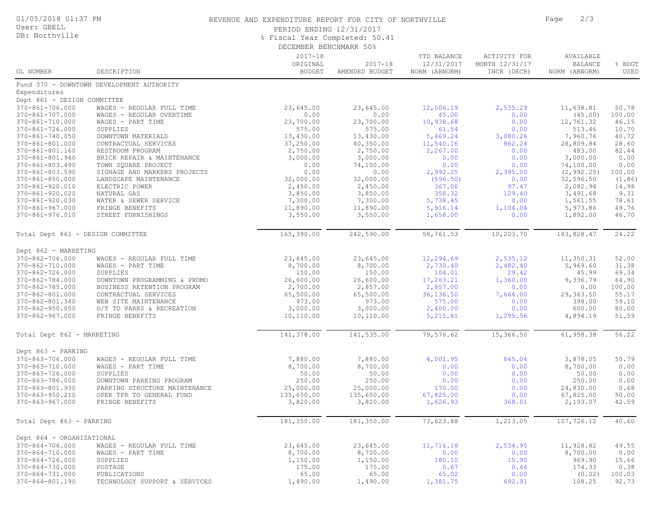| 01/05/2018 01:37 PM |  |
|---------------------|--|
|---------------------|--|

#### User: GBELL DB: Northville

#### REVENUE AND EXPENDITURE REPORT FOR CITY OF NORTHVILLE **FOR SAMILLE PAGE 2/3**

PERIOD ENDING 12/31/2017

% Fiscal Year Completed: 50.41

DECEMBER BENCHMARK 50%

|                                                |                                                   | bhchmhnt bhnchmmut 900                   |                               |                                            |                                               |                                              |                |
|------------------------------------------------|---------------------------------------------------|------------------------------------------|-------------------------------|--------------------------------------------|-----------------------------------------------|----------------------------------------------|----------------|
| GL NUMBER                                      | DESCRIPTION                                       | $2017 - 18$<br>ORIGINAL<br><b>BUDGET</b> | $2017 - 18$<br>AMENDED BUDGET | YTD BALANCE<br>12/31/2017<br>NORM (ABNORM) | ACTIVITY FOR<br>MONTH 12/31/17<br>INCR (DECR) | AVAILABLE<br><b>BALANCE</b><br>NORM (ABNORM) | % BDGT<br>USED |
|                                                | Fund 370 - DOWNTOWN DEVELOPMENT AUTHORITY         |                                          |                               |                                            |                                               |                                              |                |
| Expenditures                                   |                                                   |                                          |                               |                                            |                                               |                                              |                |
| Dept 861 - DESIGN COMMITTEE                    |                                                   |                                          |                               |                                            |                                               |                                              |                |
| 370-861-706.000                                | WAGES - REGULAR FULL TIME                         | 23,645.00                                | 23,645.00                     | 12,006.19                                  | 2,535.29                                      | 11,638.81                                    | 50.78          |
| 370-861-707.000                                | WAGES - REGULAR OVERTIME                          | 0.00                                     | 0.00                          | 45.00                                      | 0.00                                          | (45.00)                                      | 100.00         |
| 370-861-710.000                                | WAGES - PART TIME                                 | 23,700.00                                | 23,700.00                     | 10,938.68                                  | 0.00                                          | 12,761.32                                    | 46.15          |
| 370-861-726.000                                | SUPPLIES                                          | 575.00                                   | 575.00                        | 61.54                                      | 0.00                                          | 513.46                                       | 10.70          |
| 370-861-740.050                                | DOWNTOWN MATERIALS                                | 13,430.00                                | 13,430.00                     | 5,469.24                                   | 3,080.26                                      | 7,960.76                                     | 40.72          |
| 370-861-801.000                                | CONTRACTUAL SERVICES                              | 37,250.00                                | 40,350.00                     | 11,540.16                                  | 862.24                                        | 28,809.84                                    | 28.60          |
| 370-861-801.160                                | RESTROOM PROGRAM                                  | 2,750.00                                 | 2,750.00                      | 2,267.00                                   | 0.00                                          | 483.00                                       | 82.44          |
| 370-861-801.940                                | BRICK REPAIR & MAINTENANCE<br>TOWN SOUARE PROJECT | 3,000.00                                 | 3,000.00                      | 0.00                                       | 0.00                                          | 3,000.00                                     | 0.00           |
| $370 - 861 - 803.490$<br>$370 - 861 - 803.590$ | SIGNAGE AND MARKERS PROJECTS                      | 0.00<br>0.00                             | 74,100.00<br>0.00             | 0.00<br>2,992.25                           | 0.00<br>2,395.00                              | 74,100.00<br>(2, 992.25)                     | 0.00<br>100.00 |
| $370 - 861 - 850.000$                          | LANDSCAPE MAINTENANCE                             | 32,000.00                                | 32,000.00                     | (596.50)                                   | 0.00                                          | 32,596.50                                    | (1.86)         |
| 370-861-920.010                                | ELECTRIC POWER                                    | 2,450.00                                 | 2,450.00                      | 367.06                                     | 97.47                                         | 2,082.94                                     | 14.98          |
| 370-861-920.020                                | NATURAL GAS                                       | 3,850.00                                 | 3,850.00                      | 358.32                                     | 129.40                                        | 3,491.68                                     | 9.31           |
| 370-861-920.030                                | WATER & SEWER SERVICE                             | 7,300.00                                 | 7,300.00                      | 5,738.45                                   | 0.00                                          | 1,561.55                                     | 78.61          |
| $370 - 861 - 967.000$                          | FRINGE BENEFITS                                   | 11,890.00                                | 11,890.00                     | 5,916.14                                   | 1,104.04                                      | 5,973.86                                     | 49.76          |
| 370-861-976.010                                | STREET FURNISHINGS                                | 3,550.00                                 | 3,550.00                      | 1,658.00                                   | 0.00                                          | 1,892.00                                     | 46.70          |
| Total Dept 861 - DESIGN COMMITTEE              |                                                   | 165,390.00                               | 242,590.00                    | 58,761.53                                  | 10,203.70                                     | 183,828.47                                   | 24.22          |
| Dept 862 - MARKETING                           |                                                   |                                          |                               |                                            |                                               |                                              |                |
| 370-862-706.000                                | WAGES - REGULAR FULL TIME                         | 23,645.00                                | 23,645.00                     | 12,294.69                                  | 2,535.12                                      | 11,350.31                                    | 52.00          |
| $370 - 862 - 710.000$                          | WAGES - PART TIME                                 | 8,700.00                                 | 8,700.00                      | 2,730.40                                   | 2,482.40                                      | 5,969.60                                     | 31.38          |
| 370-862-726.000                                | SUPPLIES                                          | 150.00                                   | 150.00                        | 104.01                                     | 29.42                                         | 45.99                                        | 69.34          |
| 370-862-784.000                                | DOWNTOWN PROGRAMMING & PROMO                      | 26,600.00                                | 26,600.00                     | 17,263.21                                  | 1,360.00                                      | 9,336.79                                     | 64.90          |
| 370-862-785.000                                | BUSINESS RETENTION PROGRAM                        | 2,700.00                                 | 2,857.00                      | 2,857.00                                   | 0.00                                          | 0.00                                         | 100.00         |
| 370-862-801.000                                | CONTRACTUAL SERVICES                              | 65,500.00                                | 65,500.00                     | 36, 136.50                                 | 7,664.00                                      | 29,363.50                                    | 55.17          |
| 370-862-801.340                                | WEB SITE MAINTENANCE                              | 973.00                                   | 973.00                        | 575.00                                     | 0.00                                          | 398.00                                       | 59.10          |
| $370 - 862 - 950.050$<br>$370 - 862 - 967.000$ | O/T TO PARKS & RECREATION<br>FRINGE BENEFITS      | 3,000.00<br>10,110.00                    | 3,000.00<br>10,110.00         | 2,400.00<br>5, 215.81                      | 0.00<br>1,295.56                              | 600.00<br>4,894.19                           | 80.00<br>51.59 |
| Total Dept 862 - MARKETING                     |                                                   | 141,378.00                               | 141,535.00                    | 79,576.62                                  | 15,366.50                                     | 61,958.38                                    | 56.22          |
| Dept 863 - PARKING                             |                                                   |                                          |                               |                                            |                                               |                                              |                |
| 370-863-706.000                                | WAGES - REGULAR FULL TIME                         | 7,880.00                                 | 7,880.00                      | 4,001.95                                   | 845.04                                        | 3,878.05                                     | 50.79          |
| 370-863-710.000                                | WAGES - PART TIME                                 | 8,700.00                                 | 8,700.00                      | 0.00                                       | 0.00                                          | 8,700.00                                     | 0.00           |
| 370-863-726.000                                | SUPPLIES                                          | 50.00                                    | 50.00                         | 0.00                                       | 0.00                                          | 50.00                                        | 0.00           |
| 370-863-786.000                                | DOWNTOWN PARKING PROGRAM                          | 250.00                                   | 250.00                        | 0.00                                       | 0.00                                          | 250.00                                       | 0.00           |
| 370-863-801.930                                | PARKING STRUCTURE MAINTENANCE                     | 25,000.00                                | 25,000.00                     | 170.00                                     | 0.00                                          | 24,830.00                                    | 0.68           |
| 370-863-950.210                                | OPER TFR TO GENERAL FUND                          | 135,650.00                               | 135,650.00                    | 67,825.00                                  | 0.00                                          | 67,825.00                                    | 50.00          |
| 370-863-967.000                                | FRINGE BENEFITS                                   | 3,820.00                                 | 3,820.00                      | 1,626.93                                   | 368.01                                        | 2,193.07                                     | 42.59          |
| Total Dept 863 - PARKING                       |                                                   | 181,350.00                               | 181, 350.00                   | 73,623.88                                  | 1,213.05                                      | 107,726.12                                   | 40.60          |
| Dept 864 - ORGANIZATIONAL                      |                                                   |                                          |                               |                                            |                                               |                                              |                |
| $370 - 864 - 706.000$                          | WAGES - REGULAR FULL TIME                         | 23,645.00                                | 23,645.00                     | 11,716.18                                  | 2,534.95                                      | 11,928.82                                    | 49.55          |
| 370-864-710.000                                | WAGES - PART TIME                                 | 8,700.00                                 | 8,700.00                      | 0.00                                       | 0.00                                          | 8,700.00                                     | 0.00           |
| 370-864-726.000                                | SUPPLIES                                          | 1,150.00                                 | 1,150.00                      | 180.10                                     | 15.90                                         | 969.90                                       | 15.66          |
| $370 - 864 - 730.000$                          | POSTAGE                                           | 175.00                                   | 175.00                        | 0.67                                       | 0.46                                          | 174.33                                       | 0.38           |
| $370 - 864 - 731.000$                          | PUBLICATIONS                                      | 65.00                                    | 65.00                         | 65.02                                      | 0.00                                          | (0.02)                                       | 100.03         |
| 370-864-801.190                                | TECHNOLOGY SUPPORT & SERVICES                     | 1,490.00                                 | 1,490.00                      | 1,381.75                                   | 692.91                                        | 108.25                                       | 92.73          |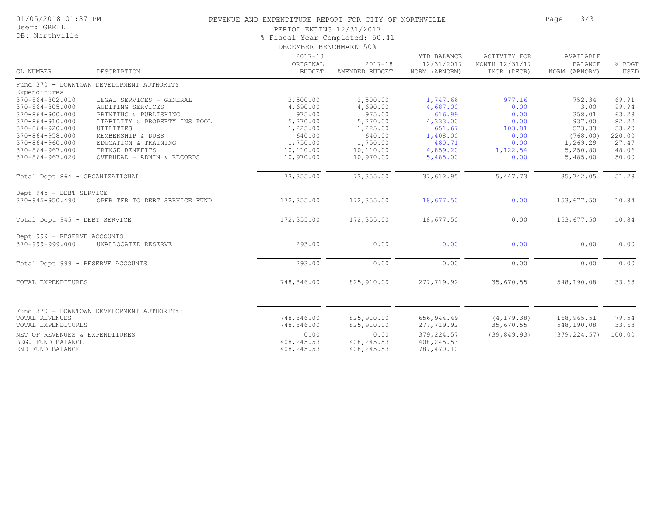| 01/05/2018 01:37 PM |  |
|---------------------|--|
|---------------------|--|

User: GBELL DB: Northville

#### REVENUE AND EXPENDITURE REPORT FOR CITY OF NORTHVILLE **FOR SAMILLE PAGE** 3/3

PERIOD ENDING 12/31/2017

% Fiscal Year Completed: 50.41

|                                                |                                            | DECEMBER BENCHMARK 50%                   |                               |                                            |                                                      |                                              |                 |  |
|------------------------------------------------|--------------------------------------------|------------------------------------------|-------------------------------|--------------------------------------------|------------------------------------------------------|----------------------------------------------|-----------------|--|
| GL NUMBER                                      | DESCRIPTION                                | $2017 - 18$<br>ORIGINAL<br><b>BUDGET</b> | $2017 - 18$<br>AMENDED BUDGET | YTD BALANCE<br>12/31/2017<br>NORM (ABNORM) | <b>ACTIVITY FOR</b><br>MONTH 12/31/17<br>INCR (DECR) | AVAILABLE<br><b>BALANCE</b><br>NORM (ABNORM) | % BDGT<br>USED  |  |
|                                                | Fund 370 - DOWNTOWN DEVELOPMENT AUTHORITY  |                                          |                               |                                            |                                                      |                                              |                 |  |
| Expenditures                                   |                                            |                                          |                               |                                            |                                                      |                                              |                 |  |
| $370 - 864 - 802.010$                          | LEGAL SERVICES - GENERAL                   | 2,500.00                                 | 2,500.00                      | 1,747.66                                   | 977.16                                               | 752.34                                       | 69.91           |  |
| $370 - 864 - 805.000$                          | AUDITING SERVICES                          | 4,690.00                                 | 4,690.00                      | 4,687.00                                   | 0.00                                                 | 3.00                                         | 99.94           |  |
| $370 - 864 - 900.000$                          | PRINTING & PUBLISHING                      | 975.00                                   | 975.00                        | 616.99                                     | 0.00                                                 | 358.01                                       | 63.28           |  |
| $370 - 864 - 910.000$                          | LIABILITY & PROPERTY INS POOL              | 5,270.00                                 | 5,270.00                      | 4,333.00                                   | 0.00                                                 | 937.00                                       | 82.22           |  |
| $370 - 864 - 920.000$                          | UTILITIES                                  | 1,225.00                                 | 1,225.00                      | 651.67                                     | 103.81<br>0.00                                       | 573.33<br>(768.00)                           | 53.20<br>220.00 |  |
| $370 - 864 - 958.000$<br>$370 - 864 - 960.000$ | MEMBERSHIP & DUES<br>EDUCATION & TRAINING  | 640.00<br>1,750.00                       | 640.00<br>1,750.00            | 1,408.00<br>480.71                         | 0.00                                                 | 1,269.29                                     | 27.47           |  |
| $370 - 864 - 967.000$                          | FRINGE BENEFITS                            | 10,110.00                                | 10,110.00                     | 4,859.20                                   | 1,122.54                                             | 5,250.80                                     | 48.06           |  |
| $370 - 864 - 967.020$                          | OVERHEAD - ADMIN & RECORDS                 | 10,970.00                                | 10,970.00                     | 5,485.00                                   | 0.00                                                 | 5,485.00                                     | 50.00           |  |
|                                                |                                            |                                          |                               |                                            |                                                      |                                              |                 |  |
| Total Dept 864 - ORGANIZATIONAL                |                                            | 73,355.00                                | 73,355.00                     | 37,612.95                                  | 5,447.73                                             | 35,742.05                                    | 51.28           |  |
| Dept 945 - DEBT SERVICE                        |                                            |                                          |                               |                                            |                                                      |                                              |                 |  |
| $370 - 945 - 950.490$                          | OPER TFR TO DEBT SERVICE FUND              | 172,355.00                               | 172,355.00                    | 18,677.50                                  | 0.00                                                 | 153,677.50                                   | 10.84           |  |
| Total Dept 945 - DEBT SERVICE                  |                                            | 172,355.00                               | 172,355.00                    | 18,677.50                                  | 0.00                                                 | 153,677.50                                   | 10.84           |  |
| Dept 999 - RESERVE ACCOUNTS                    |                                            |                                          |                               |                                            |                                                      |                                              |                 |  |
| 370-999-999.000                                | UNALLOCATED RESERVE                        | 293.00                                   | 0.00                          | 0.00                                       | 0.00                                                 | 0.00                                         | 0.00            |  |
| Total Dept 999 - RESERVE ACCOUNTS              |                                            | 293.00                                   | 0.00                          | 0.00                                       | 0.00                                                 | 0.00                                         | 0.00            |  |
| TOTAL EXPENDITURES                             |                                            | 748,846.00                               | 825,910.00                    | 277,719.92                                 | 35,670.55                                            | 548,190.08                                   | 33.63           |  |
|                                                | Fund 370 - DOWNTOWN DEVELOPMENT AUTHORITY: |                                          |                               |                                            |                                                      |                                              |                 |  |
| TOTAL REVENUES                                 |                                            | 748,846.00                               | 825,910.00                    | 656, 944.49                                | (4, 179.38)                                          | 168,965.51                                   | 79.54           |  |
| TOTAL EXPENDITURES                             |                                            | 748,846.00                               | 825,910.00                    | 277,719.92                                 | 35,670.55                                            | 548,190.08                                   | 33.63           |  |
| NET OF REVENUES & EXPENDITURES                 |                                            | 0.00                                     | 0.00                          | 379,224.57                                 | (39, 849.93)                                         | (379, 224.57)                                | 100.00          |  |
| BEG. FUND BALANCE                              |                                            | 408, 245.53                              | 408,245.53                    | 408,245.53                                 |                                                      |                                              |                 |  |
| END FUND BALANCE                               |                                            | 408,245.53                               | 408,245.53                    | 787,470.10                                 |                                                      |                                              |                 |  |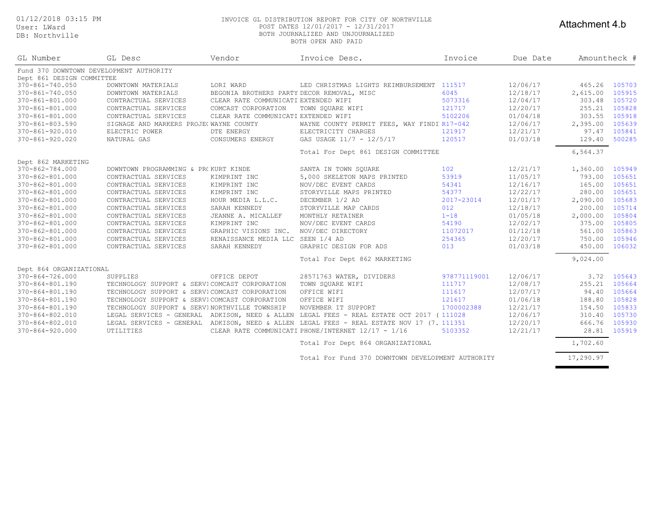User: LWard DB: Northville

#### 01/12/2018 03:15 PM INVOICE GL DISTRIBUTION REPORT FOR CITY OF NORTHVILLE POST DATES 12/01/2017 - 12/31/2017 BOTH JOURNALIZED AND UNJOURNALIZED BOTH OPEN AND PAID

#### Attachment 4.b

| GL Number                                    | GL Desc                                       | Vendor                                     | Invoice Desc.                                                                             | Invoice      | Due Date | Amountheck # |        |
|----------------------------------------------|-----------------------------------------------|--------------------------------------------|-------------------------------------------------------------------------------------------|--------------|----------|--------------|--------|
|                                              | Fund 370 DOWNTOWN DEVELOPMENT AUTHORITY       |                                            |                                                                                           |              |          |              |        |
| Dept 861 DESIGN COMMITTEE<br>370-861-740.050 | DOWNTOWN MATERIALS                            | LORI WARD                                  | LED CHRISTMAS LIGHTS REIMBURSEMENT 111517                                                 |              | 12/06/17 | 465.26       | 105703 |
| 370-861-740.050                              | DOWNTOWN MATERIALS                            | BEGONIA BROTHERS PARTY DECOR REMOVAL, MISC |                                                                                           | 6045         | 12/18/17 | 2,615.00     | 105915 |
| 370-861-801.000                              | CONTRACTUAL SERVICES                          | CLEAR RATE COMMUNICATI EXTENDED WIFI       |                                                                                           | 5073316      | 12/04/17 | 303.48       | 105720 |
| 370-861-801.000                              | CONTRACTUAL SERVICES                          | COMCAST CORPORATION                        | TOWN SOUARE WIFI                                                                          | 121717       | 12/20/17 | 255.21       | 105828 |
| 370-861-801.000                              | CONTRACTUAL SERVICES                          | CLEAR RATE COMMUNICATI EXTENDED WIFI       |                                                                                           | 5102206      | 01/04/18 | 303.55       | 105918 |
| 370-861-803.590                              | SIGNAGE AND MARKERS PROJE(WAYNE COUNTY        |                                            | WAYNE COUNTY PERMIT FEES, WAY FINDIBL17-042                                               |              | 12/06/17 | 2,395.00     | 105639 |
| 370-861-920.010                              | ELECTRIC POWER                                | DTE ENERGY                                 | ELECTRICITY CHARGES                                                                       | 121917       | 12/21/17 | 97.47        | 105841 |
| 370-861-920.020                              | NATURAL GAS                                   | CONSUMERS ENERGY                           | GAS USAGE 11/7 - 12/5/17                                                                  | 120517       | 01/03/18 | 129.40       | 500285 |
|                                              |                                               |                                            |                                                                                           |              |          |              |        |
|                                              |                                               |                                            | Total For Dept 861 DESIGN COMMITTEE                                                       |              |          | 6,564.37     |        |
| Dept 862 MARKETING                           |                                               |                                            |                                                                                           |              |          |              |        |
| 370-862-784.000                              | DOWNTOWN PROGRAMMING & PR(KURT KINDE          |                                            | SANTA IN TOWN SOUARE                                                                      | 102          | 12/21/17 | 1,360.00     | 105949 |
| 370-862-801.000                              | CONTRACTUAL SERVICES                          | KIMPRINT INC                               | 5,000 SKELETON MAPS PRINTED                                                               | 53919        | 11/05/17 | 793.00       | 105651 |
| 370-862-801.000                              | CONTRACTUAL SERVICES                          | KIMPRINT INC                               | NOV/DEC EVENT CARDS                                                                       | 54341        | 12/16/17 | 165.00       | 105651 |
| 370-862-801.000                              | CONTRACTUAL SERVICES                          | KIMPRINT INC                               | STORYVILLE MAPS PRINTED                                                                   | 54377        | 12/22/17 | 280.00       | 105651 |
| 370-862-801.000                              | CONTRACTUAL SERVICES                          | HOUR MEDIA L.L.C.                          | DECEMBER 1/2 AD                                                                           | 2017-23014   | 12/01/17 | 2,090.00     | 105683 |
| 370-862-801.000                              | CONTRACTUAL SERVICES                          | SARAH KENNEDY                              | STORYVILLE MAP CARDS                                                                      | 012          | 12/18/17 | 200.00       | 105714 |
| 370-862-801.000                              | CONTRACTUAL SERVICES                          | JEANNE A. MICALLEF                         | MONTHLY RETAINER                                                                          | $1 - 18$     | 01/05/18 | 2,000.00     | 105804 |
| 370-862-801.000                              | CONTRACTUAL SERVICES                          | KIMPRINT INC                               | NOV/DEC EVENT CARDS                                                                       | 54190        | 12/02/17 | 375.00       | 105805 |
| 370-862-801.000                              | CONTRACTUAL SERVICES                          | GRAPHIC VISIONS INC.                       | NOV/DEC DIRECTORY                                                                         | 11072017     | 01/12/18 | 561.00       | 105863 |
| 370-862-801.000                              | CONTRACTUAL SERVICES                          | RENAISSANCE MEDIA LLC SEEN 1/4 AD          |                                                                                           | 254365       | 12/20/17 | 750.00       | 105946 |
| 370-862-801.000                              | CONTRACTUAL SERVICES                          | SARAH KENNEDY                              | GRAPHIC DESIGN FOR ADS                                                                    | 013          | 01/03/18 | 450.00       | 106032 |
|                                              |                                               |                                            | Total For Dept 862 MARKETING                                                              |              |          | 9,024.00     |        |
| Dept 864 ORGANIZATIONAL                      |                                               |                                            |                                                                                           |              |          |              |        |
| 370-864-726.000                              | SUPPLIES                                      | OFFICE DEPOT                               | 28571763 WATER, DIVIDERS                                                                  | 978771119001 | 12/06/17 | 3.72         | 105643 |
| 370-864-801.190                              | TECHNOLOGY SUPPORT & SERVICOMCAST CORPORATION |                                            | TOWN SOUARE WIFI                                                                          | 111717       | 12/08/17 | 255.21       | 105664 |
| 370-864-801.190                              | TECHNOLOGY SUPPORT & SERVICOMCAST CORPORATION |                                            | OFFICE WIFI                                                                               | 111617       | 12/07/17 | 94.40        | 105664 |
| 370-864-801.190                              | TECHNOLOGY SUPPORT & SERVICOMCAST CORPORATION |                                            | OFFICE WIFI                                                                               | 121617       | 01/06/18 | 188.80       | 105828 |
| 370-864-801.190                              | TECHNOLOGY SUPPORT & SERVINORTHVILLE TOWNSHIP |                                            | NOVEMBER IT SUPPORT                                                                       | 1700002388   | 12/21/17 | 154.50       | 105833 |
| 370-864-802.010                              |                                               |                                            | LEGAL SERVICES - GENERAL ADKISON, NEED & ALLEN LEGAL FEES - REAL ESTATE OCT 2017 (111028  |              | 12/06/17 | 310.40       | 105730 |
| 370-864-802.010                              |                                               |                                            | LEGAL SERVICES - GENERAL ADKISON, NEED & ALLEN LEGAL FEES - REAL ESTATE NOV 17 (7. 111351 |              | 12/20/17 | 666.76       | 105930 |
| $370 - 864 - 920.000$                        | UTILITIES                                     |                                            | CLEAR RATE COMMUNICATI PHONE/INTERNET 12/17 - 1/16                                        | 5103352      | 12/21/17 | 28.81        | 105919 |
|                                              |                                               |                                            | Total For Dept 864 ORGANIZATIONAL                                                         |              |          | 1,702.60     |        |
|                                              |                                               |                                            |                                                                                           |              |          |              |        |

Total For Fund 370 DOWNTOWN DEVELOPMENT AUTHORITY 17,290.97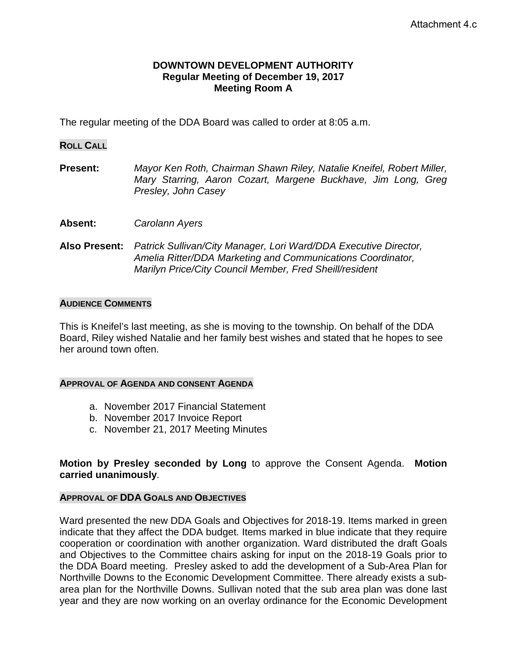#### **DOWNTOWN DEVELOPMENT AUTHORITY Regular Meeting of December 19, 2017 Meeting Room A**

The regular meeting of the DDA Board was called to order at 8:05 a.m.

#### **ROLL CALL**

**Present:** *Mayor Ken Roth, Chairman Shawn Riley, Natalie Kneifel, Robert Miller, Mary Starring, Aaron Cozart, Margene Buckhave, Jim Long, Greg Presley, John Casey*

- **Absent:** *Carolann Ayers*
- **Also Present:** *Patrick Sullivan/City Manager, Lori Ward/DDA Executive Director, Amelia Ritter/DDA Marketing and Communications Coordinator, Marilyn Price/City Council Member, Fred Sheill/resident*

#### **AUDIENCE COMMENTS**

This is Kneifel's last meeting, as she is moving to the township. On behalf of the DDA Board, Riley wished Natalie and her family best wishes and stated that he hopes to see her around town often.

#### **APPROVAL OF AGENDA AND CONSENT AGENDA**

- a. November 2017 Financial Statement
- b. November 2017 Invoice Report
- c. November 21, 2017 Meeting Minutes

**Motion by Presley seconded by Long** to approve the Consent Agenda. **Motion carried unanimously**.

#### **APPROVAL OF DDA GOALS AND OBJECTIVES**

Ward presented the new DDA Goals and Objectives for 2018-19. Items marked in green indicate that they affect the DDA budget. Items marked in blue indicate that they require cooperation or coordination with another organization. Ward distributed the draft Goals and Objectives to the Committee chairs asking for input on the 2018-19 Goals prior to the DDA Board meeting. Presley asked to add the development of a Sub-Area Plan for Northville Downs to the Economic Development Committee. There already exists a subarea plan for the Northville Downs. Sullivan noted that the sub area plan was done last year and they are now working on an overlay ordinance for the Economic Development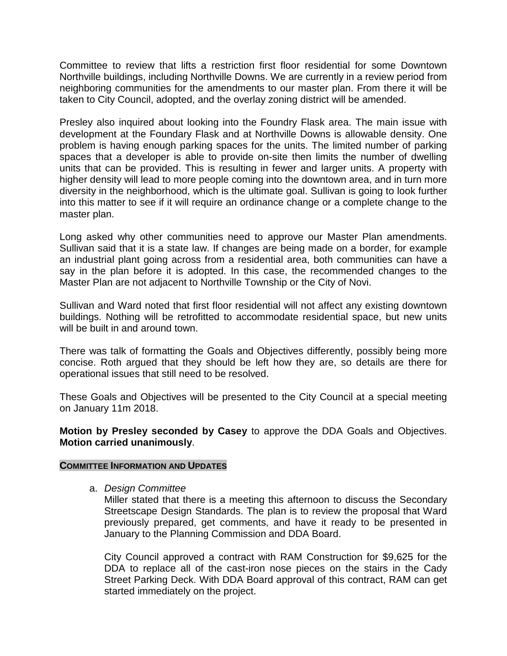Committee to review that lifts a restriction first floor residential for some Downtown Northville buildings, including Northville Downs. We are currently in a review period from neighboring communities for the amendments to our master plan. From there it will be taken to City Council, adopted, and the overlay zoning district will be amended.

Presley also inquired about looking into the Foundry Flask area. The main issue with development at the Foundary Flask and at Northville Downs is allowable density. One problem is having enough parking spaces for the units. The limited number of parking spaces that a developer is able to provide on-site then limits the number of dwelling units that can be provided. This is resulting in fewer and larger units. A property with higher density will lead to more people coming into the downtown area, and in turn more diversity in the neighborhood, which is the ultimate goal. Sullivan is going to look further into this matter to see if it will require an ordinance change or a complete change to the master plan.

Long asked why other communities need to approve our Master Plan amendments. Sullivan said that it is a state law. If changes are being made on a border, for example an industrial plant going across from a residential area, both communities can have a say in the plan before it is adopted. In this case, the recommended changes to the Master Plan are not adjacent to Northville Township or the City of Novi.

Sullivan and Ward noted that first floor residential will not affect any existing downtown buildings. Nothing will be retrofitted to accommodate residential space, but new units will be built in and around town.

There was talk of formatting the Goals and Objectives differently, possibly being more concise. Roth argued that they should be left how they are, so details are there for operational issues that still need to be resolved.

These Goals and Objectives will be presented to the City Council at a special meeting on January 11m 2018.

**Motion by Presley seconded by Casey** to approve the DDA Goals and Objectives. **Motion carried unanimously**.

#### **COMMITTEE INFORMATION AND UPDATES**

a. *Design Committee* 

Miller stated that there is a meeting this afternoon to discuss the Secondary Streetscape Design Standards. The plan is to review the proposal that Ward previously prepared, get comments, and have it ready to be presented in January to the Planning Commission and DDA Board.

City Council approved a contract with RAM Construction for \$9,625 for the DDA to replace all of the cast-iron nose pieces on the stairs in the Cady Street Parking Deck. With DDA Board approval of this contract, RAM can get started immediately on the project.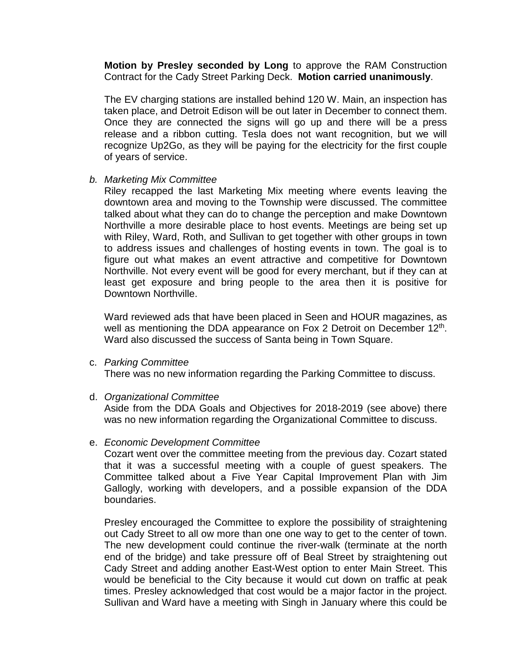**Motion by Presley seconded by Long** to approve the RAM Construction Contract for the Cady Street Parking Deck. **Motion carried unanimously**.

The EV charging stations are installed behind 120 W. Main, an inspection has taken place, and Detroit Edison will be out later in December to connect them. Once they are connected the signs will go up and there will be a press release and a ribbon cutting. Tesla does not want recognition, but we will recognize Up2Go, as they will be paying for the electricity for the first couple of years of service.

#### *b. Marketing Mix Committee*

Riley recapped the last Marketing Mix meeting where events leaving the downtown area and moving to the Township were discussed. The committee talked about what they can do to change the perception and make Downtown Northville a more desirable place to host events. Meetings are being set up with Riley, Ward, Roth, and Sullivan to get together with other groups in town to address issues and challenges of hosting events in town. The goal is to figure out what makes an event attractive and competitive for Downtown Northville. Not every event will be good for every merchant, but if they can at least get exposure and bring people to the area then it is positive for Downtown Northville.

Ward reviewed ads that have been placed in Seen and HOUR magazines, as well as mentioning the DDA appearance on Fox 2 Detroit on December 12<sup>th</sup>. Ward also discussed the success of Santa being in Town Square.

#### c. *Parking Committee*

There was no new information regarding the Parking Committee to discuss.

#### d. *Organizational Committee*

Aside from the DDA Goals and Objectives for 2018-2019 (see above) there was no new information regarding the Organizational Committee to discuss.

#### e. *Economic Development Committee*

Cozart went over the committee meeting from the previous day. Cozart stated that it was a successful meeting with a couple of guest speakers. The Committee talked about a Five Year Capital Improvement Plan with Jim Gallogly, working with developers, and a possible expansion of the DDA boundaries.

Presley encouraged the Committee to explore the possibility of straightening out Cady Street to all ow more than one one way to get to the center of town. The new development could continue the river-walk (terminate at the north end of the bridge) and take pressure off of Beal Street by straightening out Cady Street and adding another East-West option to enter Main Street. This would be beneficial to the City because it would cut down on traffic at peak times. Presley acknowledged that cost would be a major factor in the project. Sullivan and Ward have a meeting with Singh in January where this could be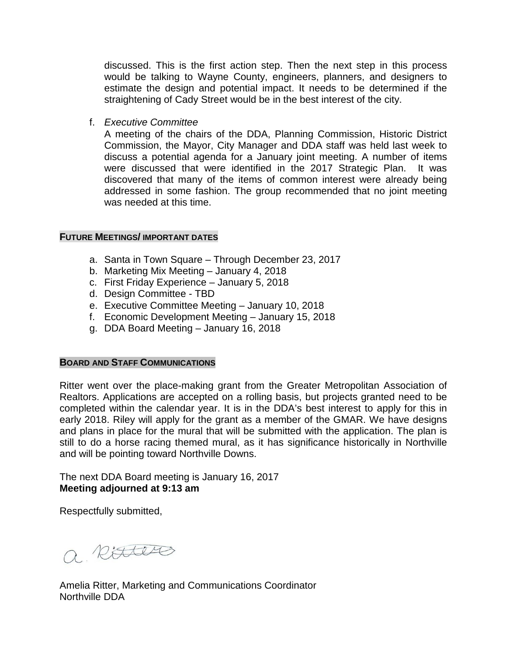discussed. This is the first action step. Then the next step in this process would be talking to Wayne County, engineers, planners, and designers to estimate the design and potential impact. It needs to be determined if the straightening of Cady Street would be in the best interest of the city.

f. *Executive Committee*

A meeting of the chairs of the DDA, Planning Commission, Historic District Commission, the Mayor, City Manager and DDA staff was held last week to discuss a potential agenda for a January joint meeting. A number of items were discussed that were identified in the 2017 Strategic Plan. It was discovered that many of the items of common interest were already being addressed in some fashion. The group recommended that no joint meeting was needed at this time.

#### **FUTURE MEETINGS/ IMPORTANT DATES**

- a. Santa in Town Square Through December 23, 2017
- b. Marketing Mix Meeting January 4, 2018
- c. First Friday Experience January 5, 2018
- d. Design Committee TBD
- e. Executive Committee Meeting January 10, 2018
- f. Economic Development Meeting January 15, 2018
- g. DDA Board Meeting January 16, 2018

### **BOARD AND STAFF COMMUNICATIONS**

Ritter went over the place-making grant from the Greater Metropolitan Association of Realtors. Applications are accepted on a rolling basis, but projects granted need to be completed within the calendar year. It is in the DDA's best interest to apply for this in early 2018. Riley will apply for the grant as a member of the GMAR. We have designs and plans in place for the mural that will be submitted with the application. The plan is still to do a horse racing themed mural, as it has significance historically in Northville and will be pointing toward Northville Downs.

The next DDA Board meeting is January 16, 2017 **Meeting adjourned at 9:13 am**

Respectfully submitted,

a Risters

Amelia Ritter, Marketing and Communications Coordinator Northville DDA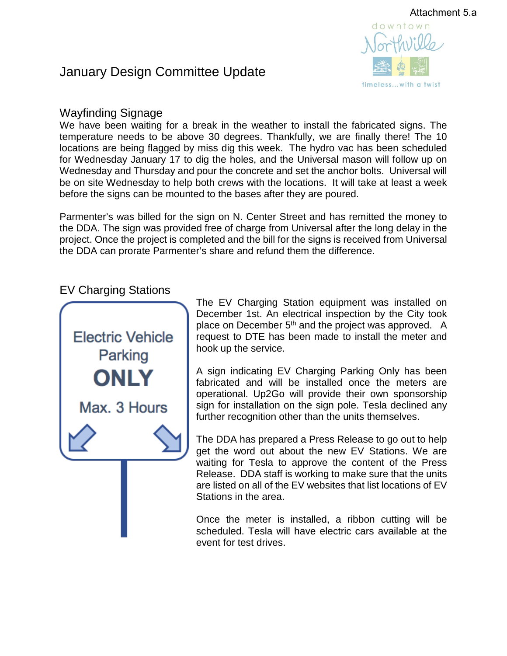

# January Design Committee Update

# Wayfinding Signage

We have been waiting for a break in the weather to install the fabricated signs. The temperature needs to be above 30 degrees. Thankfully, we are finally there! The 10 locations are being flagged by miss dig this week. The hydro vac has been scheduled for Wednesday January 17 to dig the holes, and the Universal mason will follow up on Wednesday and Thursday and pour the concrete and set the anchor bolts. Universal will be on site Wednesday to help both crews with the locations. It will take at least a week before the signs can be mounted to the bases after they are poured.

Parmenter's was billed for the sign on N. Center Street and has remitted the money to the DDA. The sign was provided free of charge from Universal after the long delay in the project. Once the project is completed and the bill for the signs is received from Universal the DDA can prorate Parmenter's share and refund them the difference.

# EV Charging Stations



The EV Charging Station equipment was installed on December 1st. An electrical inspection by the City took place on December 5<sup>th</sup> and the project was approved. A request to DTE has been made to install the meter and hook up the service.

A sign indicating EV Charging Parking Only has been fabricated and will be installed once the meters are operational. Up2Go will provide their own sponsorship sign for installation on the sign pole. Tesla declined any further recognition other than the units themselves.

The DDA has prepared a Press Release to go out to help get the word out about the new EV Stations. We are waiting for Tesla to approve the content of the Press Release. DDA staff is working to make sure that the units are listed on all of the EV websites that list locations of EV Stations in the area.

Once the meter is installed, a ribbon cutting will be scheduled. Tesla will have electric cars available at the event for test drives.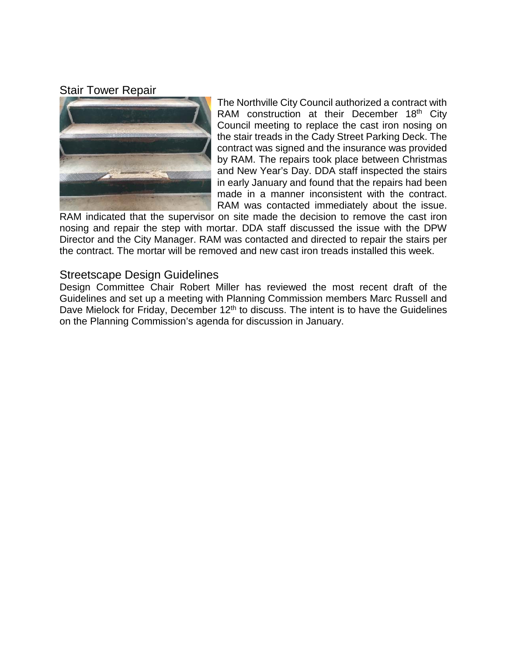# Stair Tower Repair



The Northville City Council authorized a contract with RAM construction at their December  $18<sup>th</sup>$  City Council meeting to replace the cast iron nosing on the stair treads in the Cady Street Parking Deck. The contract was signed and the insurance was provided by RAM. The repairs took place between Christmas and New Year's Day. DDA staff inspected the stairs in early January and found that the repairs had been made in a manner inconsistent with the contract. RAM was contacted immediately about the issue.

RAM indicated that the supervisor on site made the decision to remove the cast iron nosing and repair the step with mortar. DDA staff discussed the issue with the DPW Director and the City Manager. RAM was contacted and directed to repair the stairs per the contract. The mortar will be removed and new cast iron treads installed this week.

## Streetscape Design Guidelines

Design Committee Chair Robert Miller has reviewed the most recent draft of the Guidelines and set up a meeting with Planning Commission members Marc Russell and Dave Mielock for Friday, December  $12<sup>th</sup>$  to discuss. The intent is to have the Guidelines on the Planning Commission's agenda for discussion in January.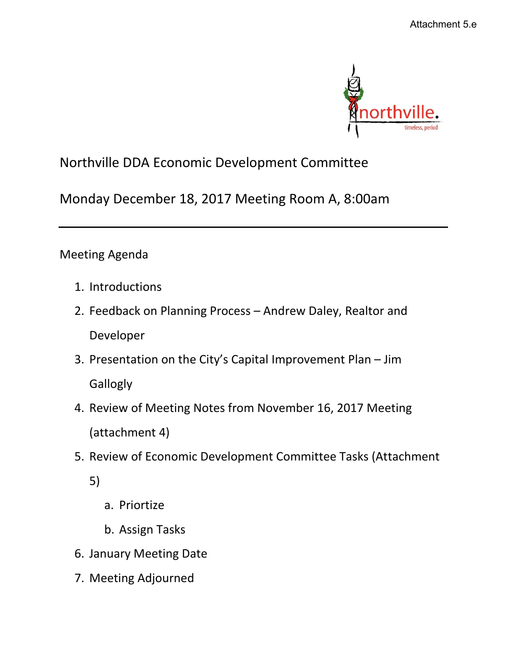

# Northville DDA Economic Development Committee

Monday December 18, 2017 Meeting Room A, 8:00am

Meeting Agenda

- 1. Introductions
- 2. Feedback on Planning Process Andrew Daley, Realtor and Developer
- 3. Presentation on the City's Capital Improvement Plan Jim **Gallogly**
- 4. Review of Meeting Notes from November 16, 2017 Meeting (attachment 4)
- 5. Review of Economic Development Committee Tasks (Attachment
	- 5)
- a. Priortize
- b. Assign Tasks
- 6. January Meeting Date
- 7. Meeting Adjourned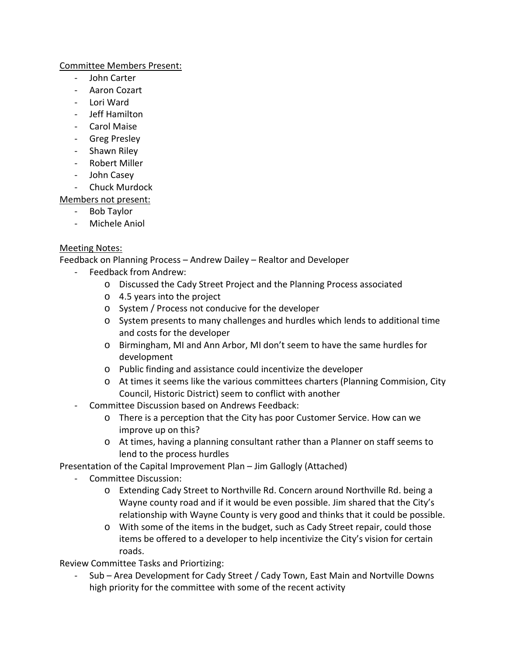#### Committee Members Present:

- John Carter
- Aaron Cozart
- Lori Ward
- Jeff Hamilton
- Carol Maise
- Greg Presley
- Shawn Riley
- Robert Miller
- John Casey
- Chuck Murdock

## Members not present:

- Bob Taylor
- Michele Aniol

### Meeting Notes:

Feedback on Planning Process – Andrew Dailey – Realtor and Developer

- Feedback from Andrew:
	- o Discussed the Cady Street Project and the Planning Process associated
	- o 4.5 years into the project
	- o System / Process not conducive for the developer
	- o System presents to many challenges and hurdles which lends to additional time and costs for the developer
	- o Birmingham, MI and Ann Arbor, MI don't seem to have the same hurdles for development
	- o Public finding and assistance could incentivize the developer
	- o At times it seems like the various committees charters (Planning Commision, City Council, Historic District) seem to conflict with another
- Committee Discussion based on Andrews Feedback:
	- o There is a perception that the City has poor Customer Service. How can we improve up on this?
	- o At times, having a planning consultant rather than a Planner on staff seems to lend to the process hurdles

Presentation of the Capital Improvement Plan – Jim Gallogly (Attached)

- Committee Discussion:
	- o Extending Cady Street to Northville Rd. Concern around Northville Rd. being a Wayne county road and if it would be even possible. Jim shared that the City's relationship with Wayne County is very good and thinks that it could be possible.
	- o With some of the items in the budget, such as Cady Street repair, could those items be offered to a developer to help incentivize the City's vision for certain roads.

Review Committee Tasks and Priortizing:

Sub - Area Development for Cady Street / Cady Town, East Main and Nortville Downs high priority for the committee with some of the recent activity